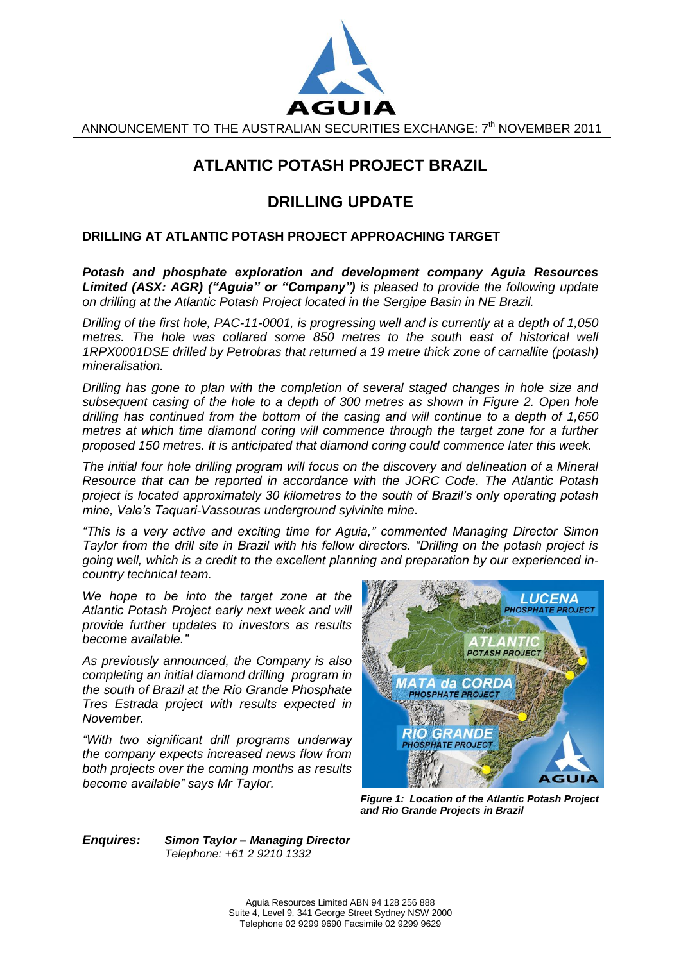

ANNOUNCEMENT TO THE AUSTRALIAN SECURITIES EXCHANGE: 7<sup>th</sup> NOVEMBER 2011

## **ATLANTIC POTASH PROJECT BRAZIL**

## **DRILLING UPDATE**

## **DRILLING AT ATLANTIC POTASH PROJECT APPROACHING TARGET**

*Potash and phosphate exploration and development company Aguia Resources Limited (ASX: AGR) ("Aguia" or "Company") is pleased to provide the following update on drilling at the Atlantic Potash Project located in the Sergipe Basin in NE Brazil.* 

*Drilling of the first hole, PAC-11-0001, is progressing well and is currently at a depth of 1,050 metres. The hole was collared some 850 metres to the south east of historical well 1RPX0001DSE drilled by Petrobras that returned a 19 metre thick zone of carnallite (potash) mineralisation.* 

*Drilling has gone to plan with the completion of several staged changes in hole size and subsequent casing of the hole to a depth of 300 metres as shown in Figure 2. Open hole drilling has continued from the bottom of the casing and will continue to a depth of 1,650 metres at which time diamond coring will commence through the target zone for a further proposed 150 metres. It is anticipated that diamond coring could commence later this week.* 

*The initial four hole drilling program will focus on the discovery and delineation of a Mineral Resource that can be reported in accordance with the JORC Code. The Atlantic Potash project is located approximately 30 kilometres to the south of Brazil"s only operating potash mine, Vale"s Taquari-Vassouras underground sylvinite mine.* 

*"This is a very active and exciting time for Aguia," commented Managing Director Simon Taylor from the drill site in Brazil with his fellow directors. "Drilling on the potash project is going well, which is a credit to the excellent planning and preparation by our experienced incountry technical team.* 

*We hope to be into the target zone at the Atlantic Potash Project early next week and will provide further updates to investors as results become available."*

*As previously announced, the Company is also completing an initial diamond drilling program in the south of Brazil at the Rio Grande Phosphate Tres Estrada project with results expected in November.*

*"With two significant drill programs underway the company expects increased news flow from both projects over the coming months as results become available" says Mr Taylor.* 



*Figure 1: Location of the Atlantic Potash Project and Rio Grande Projects in Brazil*

*Enquires: Simon Taylor – Managing Director Telephone: +61 2 9210 1332*